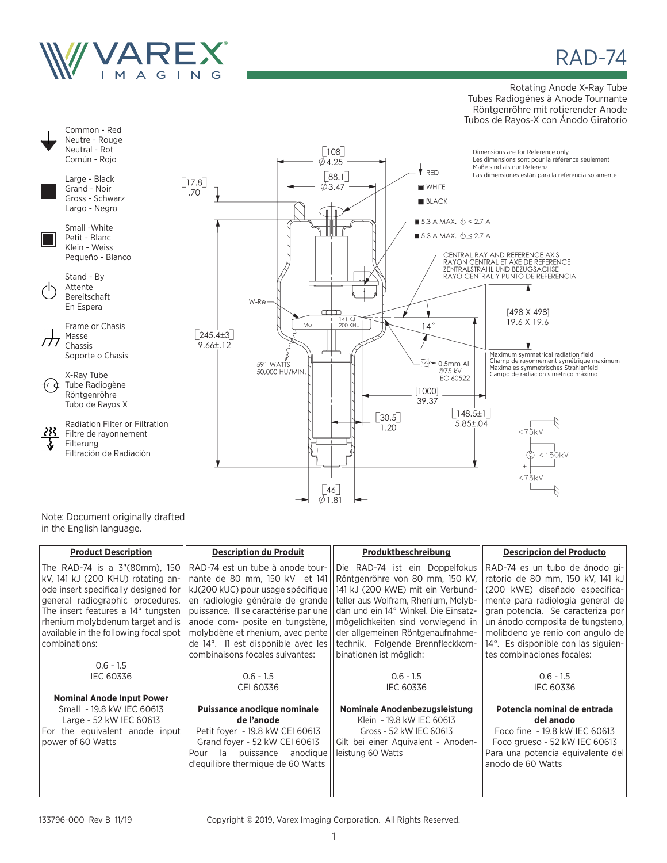

## RAD-74

#### Rotating Anode X-Ray Tube Tubes Radiogénes à Anode Tournante Röntgenröhre mit rotierender Anode Tubos de Rayos-X con Ánodo Giratorio



Note: Document originally drafted in the English language.

| <b>Product Description</b>            | <b>Description du Produit</b>                                                                | Produktbeschreibung                  | <b>Descripcion del Producto</b>     |
|---------------------------------------|----------------------------------------------------------------------------------------------|--------------------------------------|-------------------------------------|
|                                       | The RAD-74 is a $3^{\prime\prime}$ (80mm), 150   RAD-74 est un tube à anode tour-            | Die RAD-74 ist ein Doppelfokus       | RAD-74 es un tubo de ánodo gi-      |
|                                       | kV, 141 kJ (200 KHU) rotating an-   nante de 80 mm, 150 kV et 141                            | Röntgenröhre von 80 mm, 150 kV,      | ratorio de 80 mm, 150 kV, 141 kJ    |
|                                       | ode insert specifically designed for $\vert \vert kJ(200 \text{ kUC})$ pour usage spécifique | 141 kJ (200 kWE) mit ein Verbund-    | (200 kWE) diseñado especifica-      |
| general radiographic procedures.      | en radiologie générale de grande                                                             | teller aus Wolfram, Rhenium, Molyb-  | mente para radiologia general de    |
| The insert features a 14° tungsten    | puissance. Il se caractérise par une                                                         | dän und ein 14° Winkel. Die Einsatz- | gran potencía. Se caracteriza por   |
| rhenium molybdenum target and is      | anode com- posite en tungstène,                                                              | mögelichkeiten sind vorwiegend in    | un ánodo composita de tungsteno.    |
| available in the following focal spot | molybdène et rhenium, avec pente                                                             | der allgemeinen Röntgenaufnahme-     | molibdeno ye renio con angulo de    |
| combinations:                         | de 14°. Il est disponible avec les                                                           | technik. Folgende Brennfleckkom-     | 14°. Es disponible con las siguien- |
|                                       | combinaisons focales suivantes:                                                              | binationen ist möglich:              | tes combinaciones focales:          |
| $0.6 - 1.5$                           |                                                                                              |                                      |                                     |
| <b>IEC 60336</b>                      | $0.6 - 1.5$                                                                                  | $0.6 - 1.5$                          | $0.6 - 1.5$                         |
|                                       | CEI 60336                                                                                    | <b>IEC 60336</b>                     | <b>IEC 60336</b>                    |
| <b>Nominal Anode Input Power</b>      |                                                                                              |                                      |                                     |
| Small - 19.8 kW IEC 60613             | Puissance anodique nominale                                                                  | Nominale Anodenbezugsleistung        | Potencia nominal de entrada         |
| Large - 52 kW IEC 60613               | de l'anode                                                                                   | Klein - 19.8 kW IEC 60613            | del anodo                           |
| For the equivalent anode input        | Petit foyer - 19.8 kW CEI 60613                                                              | Gross - 52 kW IEC 60613              | Foco fine - 19.8 kW IEC 60613       |
| power of 60 Watts                     | Grand foyer - 52 kW CEI 60613                                                                | Gilt bei einer Aquivalent - Anoden-  | Foco grueso - 52 kW IEC 60613       |
|                                       | la<br>puissance<br>anodique<br>Pour                                                          | leistung 60 Watts                    | Para una potencia equivalente del   |
|                                       | d'equilibre thermique de 60 Watts                                                            |                                      | anodo de 60 Watts                   |
|                                       |                                                                                              |                                      |                                     |
|                                       |                                                                                              |                                      |                                     |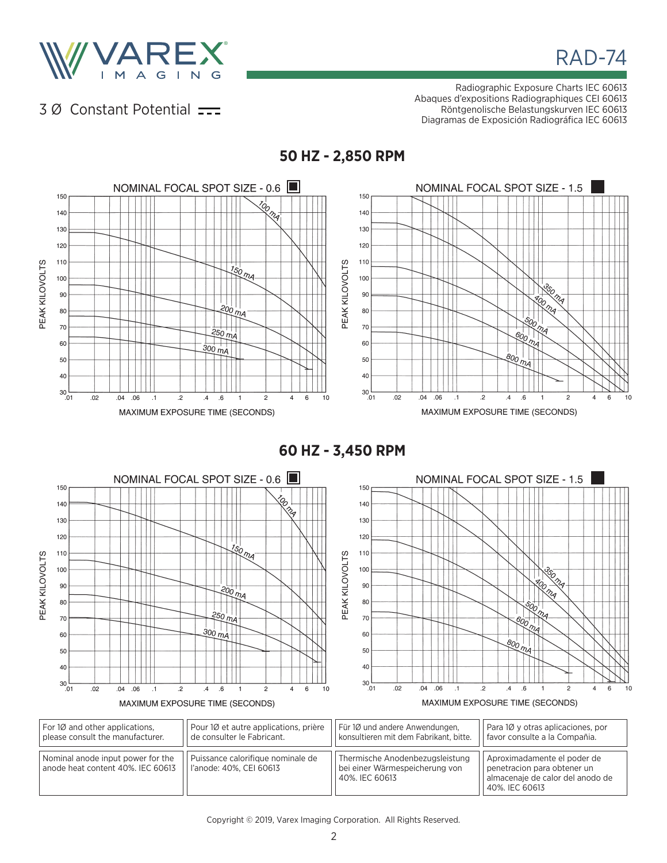

# RAD-74

## 3 Ø Constant Potential  $\equiv$

Radiographic Exposure Charts IEC 60613 Abaques d'expositions Radiographiques CEI 60613 Röntgenolische Belastungskurven IEC 60613 Diagramas de Exposición Radiográfica IEC 60613



**50 HZ - 2,850 RPM**

**60 HZ - 3,450 RPM**

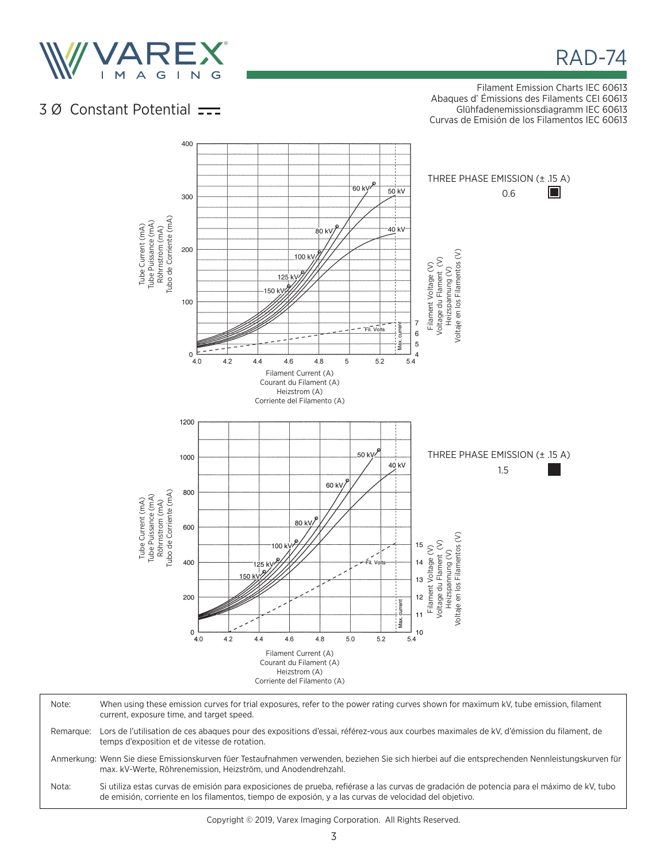

RAD-74

## 3 Ø Constant Potential  $\frac{1}{\sqrt{1-\frac{1}{\sqrt{1-\frac{1}{\sqrt{1-\frac{1}{\sqrt{1-\frac{1}{\sqrt{1-\frac{1}{\sqrt{1-\frac{1}{\sqrt{1-\frac{1}{\sqrt{1-\frac{1}{\sqrt{1-\frac{1}{\sqrt{1-\frac{1}{\sqrt{1-\frac{1}{\sqrt{1-\frac{1}{\sqrt{1-\frac{1}{\sqrt{1-\frac{1}{\sqrt{1-\frac{1}{\sqrt{1-\frac{1}{\sqrt{1-\frac{1}{\sqrt{1-\frac{1}{\sqrt{1-\frac{1}{\sqrt{1-\frac{1}{\sqrt{1-\frac{1}{\sqrt{1$

Filament Emission Charts IEC 60613 Abaques d' Émissions des Filaments CEI 60613 Glühfadenemissionsdiagramm IEC 60613 Curvas de Emisión de los Filamentos IEC 60613

400 THREE PHASE EMISSION (± .15 A) 60 kV  $50kV$  $\Box$ 0.6 300 Tube Current (mA)<br>Tube Puissance (mA)<br>Röhmstrom (mA)<br>Tubo de Corriente (mA) Tubo de Corriente (mA) Tube Puissance (mA) Tube Current (mA) 40 kV Röhrnstrom (mA) 80 KV Filament Voltage (V)<br>Voltage du Flament (V)<br>Heizspannung (V)<br>Voltaje en los Filamentos (V) 200 Voltaje en los Filamentos (V)  $100 k$ Voltage du Flament (V) Filament Voltage (V) Heizspannung (V)  $125$  k 150 k 100  $\overline{7}$ .<br>ארופי  $\,6$  $\overline{5}$ ∙á  $\mathsf{o}\xspace$  $\overline{4}$  $40$  $42$  $44$ 4.6 4.8 5 52 54 Filament Current (A) Courant du Filament (A) Heizstrom (A) Corriente del Filamento (A) 1200 THREE PHASE EMISSION (± .15 A) 50 kV $\prime$ 1000 40 kV 1.5 60 kV Tube Current (mA)<br>Tube Puissance (mA)<br>Röhmstrom (mA)<br>Tubo de Corriente (mA) 800 Tubo de Corriente (mA) Tube Puissance (mA) Tube Current (mA) Röhrnstrom (mA) 80 k 600 Heizspannung (V)<br>Voltaje en los Filamentos (V) Voltaje en los Filamentos (V)Voltage du Flament (V) 15 Voltage du Flament (V) 100 Filament Voltage (V) Filament Voltage (V) Heizspannung (V) 400  $14$ 150  $13$ 200  $12$  $r = 1$  $11$ i<br>Max.  $\mathsf{O}\xspace$  $10$  $4.2$  $4.0$  $44$  $4.6$  $48$ 5.0 52  $5.4$ Filament Current (A) Courant du Filament (A) Heizstrom (A) Corriente del Filamento (A)

Note: When using these emission curves for trial exposures, refer to the power rating curves shown for maximum kV, tube emission, filament current, exposure time, and target speed. Remarque: Lors de l'utilisation de ces abaques pour des expositions d'essai, référez-vous aux courbes maximales de kV, d'émission du filament, de temps d'exposition et de vitesse de rotation. Anmerkung: Wenn Sie diese Emissionskurven füer Testaufnahmen verwenden, beziehen Sie sich hierbei auf die entsprechenden Nennleistungskurven für max. kV-Werte, Röhrenemission, Heizström, und Anodendrehzahl. Nota: Si utiliza estas curvas de emisión para exposiciones de prueba, refiérase a las curvas de gradación de potencia para el máximo de kV, tubo de emisión, corriente en los filamentos, tiempo de exposión, y a las curvas de velocidad del objetivo.